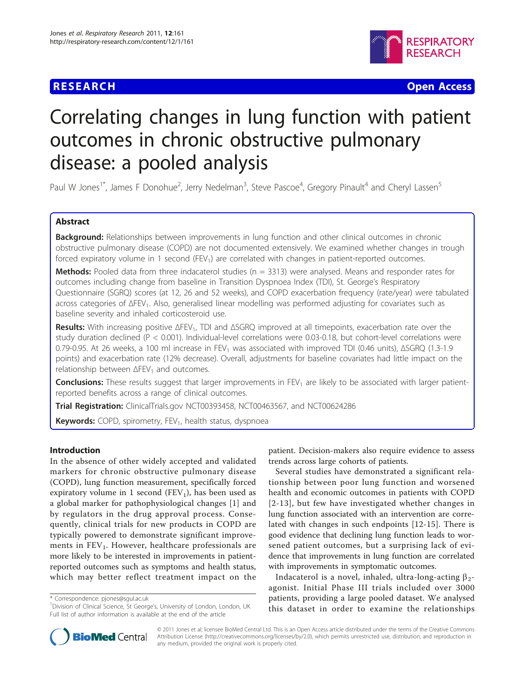# **RESEARCH CONTROL** CONTROL CONTROL CONTROL CONTROL CONTROL CONTROL CONTROL CONTROL CONTROL CONTROL CONTROL CONTROL



# Correlating changes in lung function with patient outcomes in chronic obstructive pulmonary disease: a pooled analysis

Paul W Jones<sup>1\*</sup>, James F Donohue<sup>2</sup>, Jerry Nedelman<sup>3</sup>, Steve Pascoe<sup>4</sup>, Gregory Pinault<sup>4</sup> and Cheryl Lassen<sup>5</sup>

# Abstract

Background: Relationships between improvements in lung function and other clinical outcomes in chronic obstructive pulmonary disease (COPD) are not documented extensively. We examined whether changes in trough forced expiratory volume in 1 second  $(FEV<sub>1</sub>)$  are correlated with changes in patient-reported outcomes.

**Methods:** Pooled data from three indacaterol studies ( $n = 3313$ ) were analysed. Means and responder rates for outcomes including change from baseline in Transition Dyspnoea Index (TDI), St. George's Respiratory Questionnaire (SGRQ) scores (at 12, 26 and 52 weeks), and COPD exacerbation frequency (rate/year) were tabulated across categories of ΔFEV<sub>1</sub>. Also, generalised linear modelling was performed adjusting for covariates such as baseline severity and inhaled corticosteroid use.

Results: With increasing positive  $\Delta FEV_1$ , TDI and  $\Delta SGRQ$  improved at all timepoints, exacerbation rate over the study duration declined (P < 0.001). Individual-level correlations were 0.03-0.18, but cohort-level correlations were 0.79-0.95. At 26 weeks, a 100 ml increase in FEV<sub>1</sub> was associated with improved TDI (0.46 units),  $\triangle$ SGRQ (1.3-1.9 points) and exacerbation rate (12% decrease). Overall, adjustments for baseline covariates had little impact on the relationship between  $\Delta$ FEV<sub>1</sub> and outcomes.

**Conclusions:** These results suggest that larger improvements in  $FEV<sub>1</sub>$  are likely to be associated with larger patientreported benefits across a range of clinical outcomes.

Trial Registration: ClinicalTrials.gov [NCT00393458,](http://www.clinicaltrials.gov/ct2/show/NCT00393458) [NCT00463567,](http://www.clinicaltrials.gov/ct2/show/NCT00463567) and [NCT00624286](http://www.clinicaltrials.gov/ct2/show/NCT00624286)

Keywords: COPD, spirometry, FEV<sub>1</sub>, health status, dyspnoea

# Introduction

In the absence of other widely accepted and validated markers for chronic obstructive pulmonary disease (COPD), lung function measurement, specifically forced expiratory volume in 1 second ( $FEV<sub>1</sub>$ ), has been used as a global marker for pathophysiological changes [[1\]](#page-8-0) and by regulators in the drug approval process. Consequently, clinical trials for new products in COPD are typically powered to demonstrate significant improvements in  $FEV<sub>1</sub>$ . However, healthcare professionals are more likely to be interested in improvements in patientreported outcomes such as symptoms and health status, which may better reflect treatment impact on the

\* Correspondence: [pjones@sgul.ac.uk](mailto:pjones@sgul.ac.uk)

patient. Decision-makers also require evidence to assess trends across large cohorts of patients.

Several studies have demonstrated a significant relationship between poor lung function and worsened health and economic outcomes in patients with COPD [[2](#page-8-0)-[13\]](#page-8-0), but few have investigated whether changes in lung function associated with an intervention are correlated with changes in such endpoints [[12-](#page-8-0)[15](#page-9-0)]. There is good evidence that declining lung function leads to worsened patient outcomes, but a surprising lack of evidence that improvements in lung function are correlated with improvements in symptomatic outcomes.

Indacaterol is a novel, inhaled, ultra-long-acting  $\beta_2$ agonist. Initial Phase III trials included over 3000 patients, providing a large pooled dataset. We analysed this dataset in order to examine the relationships



© 2011 Jones et al; licensee BioMed Central Ltd. This is an Open Access article distributed under the terms of the Creative Commons Attribution License [\(http://creativecommons.org/licenses/by/2.0](http://creativecommons.org/licenses/by/2.0)), which permits unrestricted use, distribution, and reproduction in any medium, provided the original work is properly cited.

<sup>&</sup>lt;sup>1</sup>Division of Clinical Science, St George's, University of London, London, UK Full list of author information is available at the end of the article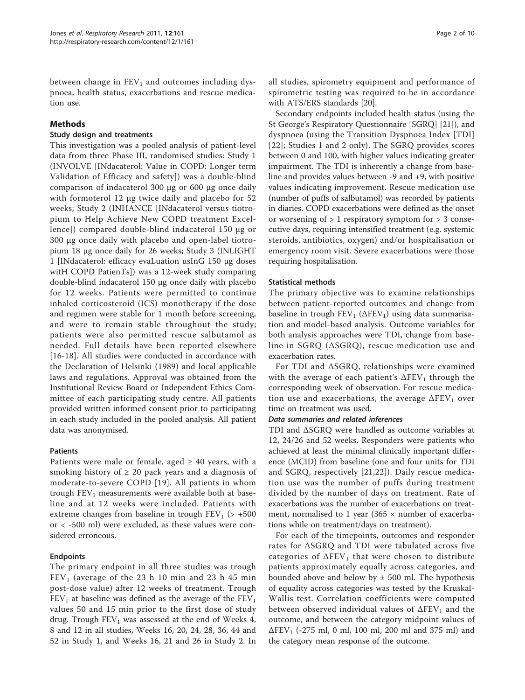between change in  $FEV<sub>1</sub>$  and outcomes including dyspnoea, health status, exacerbations and rescue medication use.

# Methods

### Study design and treatments

This investigation was a pooled analysis of patient-level data from three Phase III, randomised studies: Study 1 (INVOLVE [INdacaterol: Value in COPD: Longer term Validation of Efficacy and safety]) was a double-blind comparison of indacaterol 300 μg or 600 μg once daily with formoterol 12 μg twice daily and placebo for 52 weeks; Study 2 (INHANCE [INdacaterol versus tiotropium to Help Achieve New COPD treatment Excellence]) compared double-blind indacaterol 150 μg or 300 μg once daily with placebo and open-label tiotropium 18 μg once daily for 26 weeks; Study 3 (INLIGHT 1 [INdacaterol: efficacy evaLuation usInG 150 μg doses witH COPD PatienTs]) was a 12-week study comparing double-blind indacaterol 150 μg once daily with placebo for 12 weeks. Patients were permitted to continue inhaled corticosteroid (ICS) monotherapy if the dose and regimen were stable for 1 month before screening, and were to remain stable throughout the study; patients were also permitted rescue salbutamol as needed. Full details have been reported elsewhere [[16-18\]](#page-9-0). All studies were conducted in accordance with the Declaration of Helsinki (1989) and local applicable laws and regulations. Approval was obtained from the Institutional Review Board or Independent Ethics Committee of each participating study centre. All patients provided written informed consent prior to participating in each study included in the pooled analysis. All patient data was anonymised.

# Patients

Patients were male or female, aged  $\geq$  40 years, with a smoking history of  $\geq 20$  pack years and a diagnosis of moderate-to-severe COPD [[19](#page-9-0)]. All patients in whom trough  $FEV<sub>1</sub>$  measurements were available both at baseline and at 12 weeks were included. Patients with extreme changes from baseline in trough  $FEV<sub>1</sub>$  (> +500 or < -500 ml) were excluded, as these values were considered erroneous.

# Endpoints

The primary endpoint in all three studies was trough  $FEV<sub>1</sub>$  (average of the 23 h 10 min and 23 h 45 min post-dose value) after 12 weeks of treatment. Trough  $FEV<sub>1</sub>$  at baseline was defined as the average of the  $FEV<sub>1</sub>$ values 50 and 15 min prior to the first dose of study drug. Trough  $FEV_1$  was assessed at the end of Weeks 4, 8 and 12 in all studies, Weeks 16, 20, 24, 28, 36, 44 and 52 in Study 1, and Weeks 16, 21 and 26 in Study 2. In all studies, spirometry equipment and performance of spirometric testing was required to be in accordance with ATS/ERS standards [[20](#page-9-0)].

Secondary endpoints included health status (using the St George's Respiratory Questionnaire [SGRQ] [\[21](#page-9-0)]), and dyspnoea (using the Transition Dyspnoea Index [TDI] [[22](#page-9-0)]; Studies 1 and 2 only). The SGRQ provides scores between 0 and 100, with higher values indicating greater impairment. The TDI is inherently a change from baseline and provides values between -9 and +9, with positive values indicating improvement. Rescue medication use (number of puffs of salbutamol) was recorded by patients in diaries. COPD exacerbations were defined as the onset or worsening of  $> 1$  respiratory symptom for  $> 3$  consecutive days, requiring intensified treatment (e.g. systemic steroids, antibiotics, oxygen) and/or hospitalisation or emergency room visit. Severe exacerbations were those requiring hospitalisation.

# Statistical methods

The primary objective was to examine relationships between patient-reported outcomes and change from baseline in trough  $FEV_1$  ( $\Delta FEV_1$ ) using data summarisation and model-based analysis. Outcome variables for both analysis approaches were TDI, change from baseline in SGRQ (ΔSGRQ), rescue medication use and exacerbation rates.

For TDI and ΔSGRQ, relationships were examined with the average of each patient's  $\Delta$ FEV<sub>1</sub> through the corresponding week of observation. For rescue medication use and exacerbations, the average  $\Delta$ FEV<sub>1</sub> over time on treatment was used.

#### Data summaries and related inferences

TDI and ΔSGRQ were handled as outcome variables at 12, 24/26 and 52 weeks. Responders were patients who achieved at least the minimal clinically important difference (MCID) from baseline (one and four units for TDI and SGRQ, respectively [[21](#page-9-0),[22\]](#page-9-0)). Daily rescue medication use was the number of puffs during treatment divided by the number of days on treatment. Rate of exacerbations was the number of exacerbations on treatment, normalised to 1 year (365  $\times$  number of exacerbations while on treatment/days on treatment).

For each of the timepoints, outcomes and responder rates for ΔSGRQ and TDI were tabulated across five categories of  $\Delta$ FEV<sub>1</sub> that were chosen to distribute patients approximately equally across categories, and bounded above and below by  $\pm$  500 ml. The hypothesis of equality across categories was tested by the Kruskal-Wallis test. Correlation coefficients were computed between observed individual values of  $\Delta FEV_1$  and the outcome, and between the category midpoint values of  $\Delta$ FEV<sub>1</sub> (-275 ml, 0 ml, 100 ml, 200 ml and 375 ml) and the category mean response of the outcome.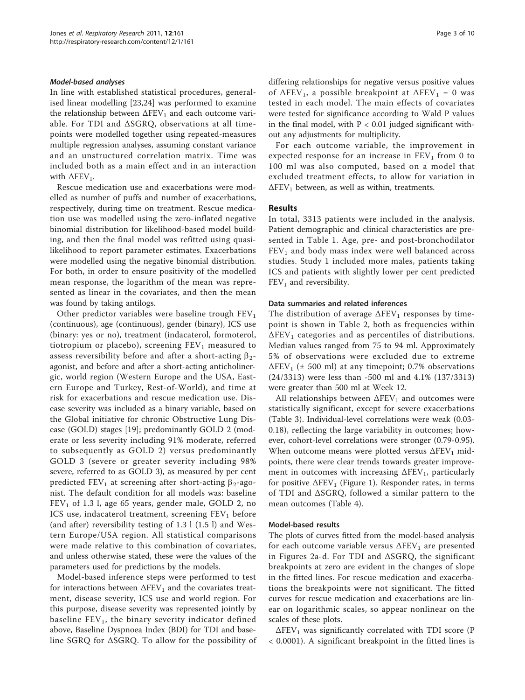#### Model-based analyses

In line with established statistical procedures, generalised linear modelling [[23,24\]](#page-9-0) was performed to examine the relationship between  $\Delta$ FEV<sub>1</sub> and each outcome variable. For TDI and ΔSGRQ, observations at all timepoints were modelled together using repeated-measures multiple regression analyses, assuming constant variance and an unstructured correlation matrix. Time was included both as a main effect and in an interaction with  $\Delta$ FEV<sub>1</sub>.

Rescue medication use and exacerbations were modelled as number of puffs and number of exacerbations, respectively, during time on treatment. Rescue medication use was modelled using the zero-inflated negative binomial distribution for likelihood-based model building, and then the final model was refitted using quasilikelihood to report parameter estimates. Exacerbations were modelled using the negative binomial distribution. For both, in order to ensure positivity of the modelled mean response, the logarithm of the mean was represented as linear in the covariates, and then the mean was found by taking antilogs.

Other predictor variables were baseline trough  $FEV<sub>1</sub>$ (continuous), age (continuous), gender (binary), ICS use (binary: yes or no), treatment (indacaterol, formoterol, tiotropium or placebo), screening  $FEV<sub>1</sub>$  measured to assess reversibility before and after a short-acting  $\beta_2$ agonist, and before and after a short-acting anticholinergic, world region (Western Europe and the USA, Eastern Europe and Turkey, Rest-of-World), and time at risk for exacerbations and rescue medication use. Disease severity was included as a binary variable, based on the Global initiative for chronic Obstructive Lung Disease (GOLD) stages [[19\]](#page-9-0); predominantly GOLD 2 (moderate or less severity including 91% moderate, referred to subsequently as GOLD 2) versus predominantly GOLD 3 (severe or greater severity including 98% severe, referred to as GOLD 3), as measured by per cent predicted FEV<sub>1</sub> at screening after short-acting  $\beta_2$ -agonist. The default condition for all models was: baseline  $FEV<sub>1</sub>$  of 1.3 l, age 65 years, gender male, GOLD 2, no ICS use, indacaterol treatment, screening  $FEV<sub>1</sub>$  before (and after) reversibility testing of 1.3 l (1.5 l) and Western Europe/USA region. All statistical comparisons were made relative to this combination of covariates, and unless otherwise stated, these were the values of the parameters used for predictions by the models.

Model-based inference steps were performed to test for interactions between  $\Delta$ FEV<sub>1</sub> and the covariates treatment, disease severity, ICS use and world region. For this purpose, disease severity was represented jointly by baseline  $FEV<sub>1</sub>$ , the binary severity indicator defined above, Baseline Dyspnoea Index (BDI) for TDI and baseline SGRQ for ΔSGRQ. To allow for the possibility of differing relationships for negative versus positive values of  $\Delta$ FEV<sub>1</sub>, a possible breakpoint at  $\Delta$ FEV<sub>1</sub> = 0 was tested in each model. The main effects of covariates were tested for significance according to Wald P values in the final model, with  $P < 0.01$  judged significant without any adjustments for multiplicity.

For each outcome variable, the improvement in expected response for an increase in  $FEV<sub>1</sub>$  from 0 to 100 ml was also computed, based on a model that excluded treatment effects, to allow for variation in  $\Delta$ FEV<sub>1</sub> between, as well as within, treatments.

#### Results

In total, 3313 patients were included in the analysis. Patient demographic and clinical characteristics are presented in Table [1.](#page-3-0) Age, pre- and post-bronchodilator  $FEV<sub>1</sub>$  and body mass index were well balanced across studies. Study 1 included more males, patients taking ICS and patients with slightly lower per cent predicted  $FEV<sub>1</sub>$  and reversibility.

#### Data summaries and related inferences

The distribution of average  $\Delta$ FEV<sub>1</sub> responses by timepoint is shown in Table [2](#page-3-0), both as frequencies within  $\Delta$ FEV<sub>1</sub> categories and as percentiles of distributions. Median values ranged from 75 to 94 ml. Approximately 5% of observations were excluded due to extreme  $\Delta$ FEV<sub>1</sub> (± 500 ml) at any timepoint; 0.7% observations (24/3313) were less than -500 ml and 4.1% (137/3313) were greater than 500 ml at Week 12.

All relationships between  $\Delta$ FEV<sub>1</sub> and outcomes were statistically significant, except for severe exacerbations (Table [3\)](#page-4-0). Individual-level correlations were weak (0.03- 0.18), reflecting the large variability in outcomes; however, cohort-level correlations were stronger (0.79-0.95). When outcome means were plotted versus  $\Delta FEV_1$  midpoints, there were clear trends towards greater improvement in outcomes with increasing  $\Delta FEV_1$ , particularly for positive  $\Delta$ FEV<sub>1</sub> (Figure [1](#page-5-0)). Responder rates, in terms of TDI and ΔSGRQ, followed a similar pattern to the mean outcomes (Table [4\)](#page-6-0).

#### Model-based results

The plots of curves fitted from the model-based analysis for each outcome variable versus  $\Delta$ FEV<sub>1</sub> are presented in Figures [2a-d](#page-7-0). For TDI and ΔSGRQ, the significant breakpoints at zero are evident in the changes of slope in the fitted lines. For rescue medication and exacerbations the breakpoints were not significant. The fitted curves for rescue medication and exacerbations are linear on logarithmic scales, so appear nonlinear on the scales of these plots.

 $\Delta$ FEV<sub>1</sub> was significantly correlated with TDI score (P < 0.0001). A significant breakpoint in the fitted lines is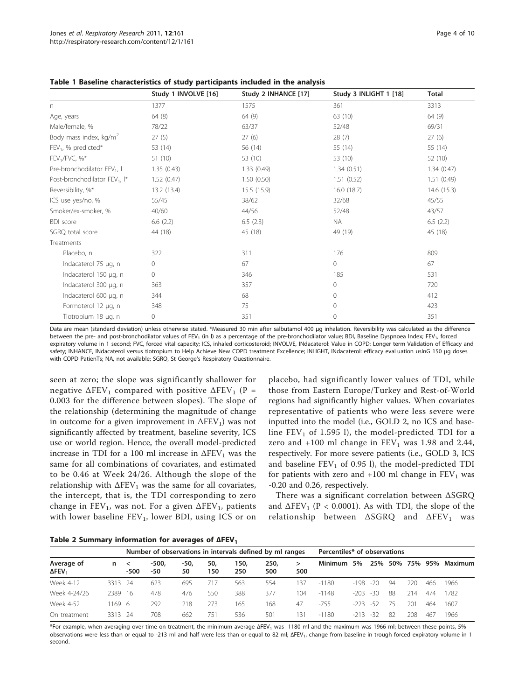|                                           | Study 1 INVOLVE [16] | Study 2 INHANCE [17] | Study 3 INLIGHT 1 [18] | <b>Total</b> |
|-------------------------------------------|----------------------|----------------------|------------------------|--------------|
| n                                         | 1377                 | 1575                 | 361                    | 3313         |
| Age, years                                | 64(8)                | 64 (9)               | 63 (10)                | 64 (9)       |
| Male/female, %                            | 78/22                | 63/37                | 52/48                  | 69/31        |
| Body mass index, kg/m <sup>2</sup>        | 27(5)                | 27(6)                | 28(7)                  | 27(6)        |
| $FEV1$ , % predicted*                     | 53 (14)              | 56 (14)              | 55 (14)                | 55 (14)      |
| $FEV1/FVC, %*$                            | 51(10)               | 53 (10)              | 53 (10)                | 52 (10)      |
| Pre-bronchodilator FEV <sub>1</sub> , I   | 1.35(0.43)           | 1.33(0.49)           | 1.34(0.51)             | 1.34(0.47)   |
| Post-bronchodilator FEV <sub>1</sub> , I* | 1.52(0.47)           | 1.50(0.50)           | 1.51(0.52)             | 1.51(0.49)   |
| Reversibility, %*                         | 13.2 (13.4)          | 15.5(15.9)           | 16.0(18.7)             | 14.6 (15.3)  |
| ICS use yes/no, %                         | 55/45                | 38/62                | 32/68                  | 45/55        |
| Smoker/ex-smoker, %                       | 40/60                | 44/56                | 52/48                  | 43/57        |
| <b>BDI</b> score                          | 6.6(2.2)             | 6.5(2.3)             | <b>NA</b>              | 6.5(2.2)     |
| SGRQ total score                          | 44 (18)              | 45 (18)              | 49 (19)                | 45 (18)      |
| Treatments                                |                      |                      |                        |              |
| Placebo, n                                | 322                  | 311                  | 176                    | 809          |
| Indacaterol 75 µg, n                      | 0                    | 67                   | 0                      | 67           |
| Indacaterol 150 µg, n                     | 0                    | 346                  | 185                    | 531          |
| Indacaterol 300 µg, n                     | 363                  | 357                  | $\overline{0}$         | 720          |
| Indacaterol 600 µg, n                     | 344                  | 68                   | 0                      | 412          |
| Formoterol 12 µg, n                       | 348                  | 75                   | $\overline{0}$         | 423          |
| Tiotropium 18 µg, n                       | 0                    | 351                  | 0                      | 351          |

<span id="page-3-0"></span>

|  |  | Table 1 Baseline characteristics of study participants included in the analysis |
|--|--|---------------------------------------------------------------------------------|
|--|--|---------------------------------------------------------------------------------|

Data are mean (standard deviation) unless otherwise stated. \*Measured 30 min after salbutamol 400 μg inhalation. Reversibility was calculated as the difference between the pre- and post-bronchodilator values of FEV<sub>1</sub> (in I) as a percentage of the pre-bronchodilator value; BDI, Baseline Dyspnoea Index; FEV<sub>1</sub>, forced expiratory volume in 1 second; FVC, forced vital capacity; ICS, inhaled corticosteroid; INVOLVE, INdacaterol: Value in COPD: Longer term Validation of Efficacy and safety; INHANCE, INdacaterol versus tiotropium to Help Achieve New COPD treatment Excellence; INLIGHT, INdacaterol: efficacy evaLuation usInG 150 μg doses with COPD PatienTs; NA, not available; SGRQ, St George's Respiratory Questionnaire.

seen at zero; the slope was significantly shallower for negative  $\Delta$ FEV<sub>1</sub> compared with positive  $\Delta$ FEV<sub>1</sub> (P = 0.003 for the difference between slopes). The slope of the relationship (determining the magnitude of change in outcome for a given improvement in  $\Delta$ FEV<sub>1</sub>) was not significantly affected by treatment, baseline severity, ICS use or world region. Hence, the overall model-predicted increase in TDI for a 100 ml increase in  $\Delta$ FEV<sub>1</sub> was the same for all combinations of covariates, and estimated to be 0.46 at Week 24/26. Although the slope of the relationship with  $\Delta$ FEV<sub>1</sub> was the same for all covariates, the intercept, that is, the TDI corresponding to zero change in  $FEV_1$ , was not. For a given  $\Delta FEV_1$ , patients with lower baseline  $FEV<sub>1</sub>$ , lower BDI, using ICS or on

placebo, had significantly lower values of TDI, while those from Eastern Europe/Turkey and Rest-of-World regions had significantly higher values. When covariates representative of patients who were less severe were inputted into the model (i.e., GOLD 2, no ICS and baseline  $FEV<sub>1</sub>$  of 1.595 l), the model-predicted TDI for a zero and  $+100$  ml change in  $FEV<sub>1</sub>$  was 1.98 and 2.44, respectively. For more severe patients (i.e., GOLD 3, ICS and baseline  $FEV<sub>1</sub>$  of 0.95 l), the model-predicted TDI for patients with zero and  $+100$  ml change in  $FEV<sub>1</sub>$  was -0.20 and 0.26, respectively.

There was a significant correlation between ΔSGRQ and  $\Delta$ FEV<sub>1</sub> (P < 0.0001). As with TDI, the slope of the relationship between  $\triangle SGRQ$  and  $\triangle FEV_1$  was

| Table 2 Summary information for averages of AFEV <sub>1</sub> |  |  |  |
|---------------------------------------------------------------|--|--|--|
|---------------------------------------------------------------|--|--|--|

|                                         |         | Number of observations in intervals defined by ml ranges |              |            |            |             |             |     | Percentiles* of observations |        |       |         |     |     |                 |
|-----------------------------------------|---------|----------------------------------------------------------|--------------|------------|------------|-------------|-------------|-----|------------------------------|--------|-------|---------|-----|-----|-----------------|
| Average of<br>$\Delta$ FEV <sub>1</sub> | n       | $\prec$<br>$-500$                                        | -500,<br>-50 | -50,<br>50 | 50,<br>150 | 150,<br>250 | 250,<br>500 | 500 | <b>Minimum</b>               | 5%     |       | 25% 50% |     |     | 75% 95% Maximum |
| Week 4-12                               | 3313 24 |                                                          | 623          | 695        |            | 563         | 554         | 37  | $-1180$                      | $-198$ | $-20$ | 94      | 220 | 466 | 1966            |
| Week 4-24/26                            | 2389    | 16                                                       | 478          | 476        | 550        | 388         | 377         | 104 | $-1148$                      | -203   | $-30$ | 88      | 214 | 474 | 1782            |
| Week 4-52                               | 169 6   |                                                          | 292          | 218        | 273        | 165         | 168         | 47  | $-755$                       | -223   | -52   | 75      | 201 | 464 | 1607            |
| On treatment                            | 3313 24 |                                                          | 708          | 662        | 751        | 536         | 501         | 31  | $-1180$                      | -213   | -32   | 82      | 208 | 46. | 1966            |

\*For example, when averaging over time on treatment, the minimum average ΔFEV<sub>1</sub> was -1180 ml and the maximum was 1966 ml; between these points, 5% observations were less than or equal to -213 ml and half were less than or equal to 82 ml; ΔFEV<sub>1</sub>, change from baseline in trough forced expiratory volume in 1 second.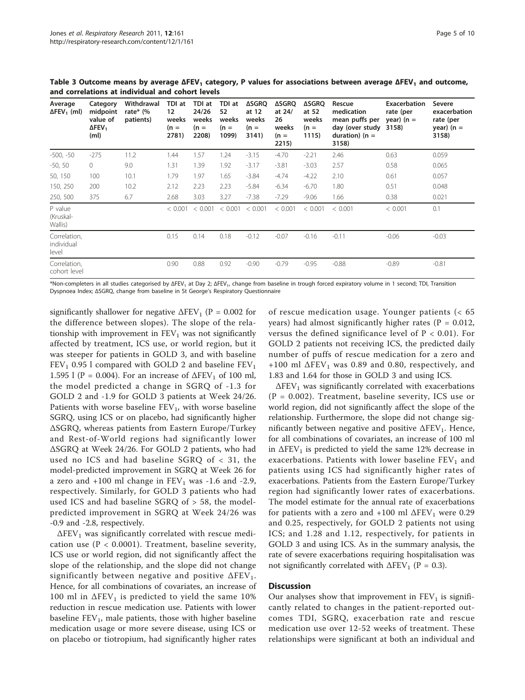| Average<br>$\Delta$ FEV <sub>1</sub> (ml) | Category<br>midpoint<br>value of<br>$\Delta$ FEV <sub>1</sub><br>(m <sub>l</sub> ) | Withdrawal<br>rate* $\frac{6}{6}$<br>patients) | TDI at<br>12<br>weeks<br>$(n =$<br>2781) | TDI at<br>24/26<br>weeks<br>$(n =$<br>2208) | TDI at<br>52<br>weeks<br>$(n =$<br>1099) | <b>ASGRQ</b><br>at 12<br>weeks<br>$(n =$<br>3141) | <b>ASGRQ</b><br>at 24/<br>26<br>weeks<br>$(n =$<br>2215) | ∆SGRQ<br>at 52<br>weeks<br>$(n =$<br>1115) | Rescue<br>medication<br>mean puffs per<br>day (over study<br>duration) ( $n =$<br>3158) | Exacerbation<br>rate (per<br>year) ( $n =$<br>3158) | Severe<br>exacerbation<br>rate (per<br>year) ( $n =$<br>3158) |
|-------------------------------------------|------------------------------------------------------------------------------------|------------------------------------------------|------------------------------------------|---------------------------------------------|------------------------------------------|---------------------------------------------------|----------------------------------------------------------|--------------------------------------------|-----------------------------------------------------------------------------------------|-----------------------------------------------------|---------------------------------------------------------------|
| -500, -50                                 | $-275$                                                                             | 11.2                                           | 1.44                                     | 1.57                                        | 1.24                                     | $-3.15$                                           | $-4.70$                                                  | $-2.21$                                    | 2.46                                                                                    | 0.63                                                | 0.059                                                         |
| $-50, 50$                                 | $\Omega$                                                                           | 9.0                                            | 1.31                                     | 1.39                                        | 1.92                                     | $-3.17$                                           | $-3.81$                                                  | $-3.03$                                    | 2.57                                                                                    | 0.58                                                | 0.065                                                         |
| 50, 150                                   | 100                                                                                | 10.1                                           | 1.79                                     | 1.97                                        | 1.65                                     | $-3.84$                                           | $-4.74$                                                  | $-4.22$                                    | 2.10                                                                                    | 0.61                                                | 0.057                                                         |
| 150, 250                                  | 200                                                                                | 10.2                                           | 2.12                                     | 2.23                                        | 2.23                                     | $-5.84$                                           | $-6.34$                                                  | $-6.70$                                    | 1.80                                                                                    | 0.51                                                | 0.048                                                         |
| 250, 500                                  | 375                                                                                | 6.7                                            | 2.68                                     | 3.03                                        | 3.27                                     | $-7.38$                                           | $-7.29$                                                  | $-9.06$                                    | 1.66                                                                                    | 0.38                                                | 0.021                                                         |
| P value<br>(Kruskal-<br>Wallis)           |                                                                                    |                                                | < 0.001                                  | < 0.001                                     | < 0.001                                  | < 0.001                                           | < 0.001                                                  | < 0.001                                    | < 0.001                                                                                 | < 0.001                                             | 0.1                                                           |
| Correlation,<br>individual<br>level       |                                                                                    |                                                | 0.15                                     | 0.14                                        | 0.18                                     | $-0.12$                                           | $-0.07$                                                  | $-0.16$                                    | $-0.11$                                                                                 | $-0.06$                                             | $-0.03$                                                       |
| Correlation,<br>cohort level              |                                                                                    |                                                | 0.90                                     | 0.88                                        | 0.92                                     | $-0.90$                                           | $-0.79$                                                  | $-0.95$                                    | $-0.88$                                                                                 | $-0.89$                                             | $-0.81$                                                       |

<span id="page-4-0"></span>Table 3 Outcome means by average  $\Delta FEV_1$  category, P values for associations between average  $\Delta FEV_1$  and outcome, and correlations at individual and cohort levels

\*Non-completers in all studies categorised by ΔFEV<sub>1</sub> at Day 2; ΔFEV<sub>1</sub>, change from baseline in trough forced expiratory volume in 1 second; TDI, Transition Dyspnoea Index; ΔSGRQ, change from baseline in St George's Respiratory Questionnaire

significantly shallower for negative  $\Delta$ FEV<sub>1</sub> (P = 0.002 for the difference between slopes). The slope of the relationship with improvement in  $FEV<sub>1</sub>$  was not significantly affected by treatment, ICS use, or world region, but it was steeper for patients in GOLD 3, and with baseline  $FEV<sub>1</sub>$  0.95 l compared with GOLD 2 and baseline  $FEV<sub>1</sub>$ 1.595 l (P = 0.004). For an increase of  $\Delta$ FEV<sub>1</sub> of 100 ml, the model predicted a change in SGRQ of -1.3 for GOLD 2 and -1.9 for GOLD 3 patients at Week 24/26. Patients with worse baseline  $FEV_1$ , with worse baseline SGRQ, using ICS or on placebo, had significantly higher ΔSGRQ, whereas patients from Eastern Europe/Turkey and Rest-of-World regions had significantly lower ΔSGRQ at Week 24/26. For GOLD 2 patients, who had used no ICS and had baseline SGRQ of < 31, the model-predicted improvement in SGRQ at Week 26 for a zero and  $+100$  ml change in  $FEV<sub>1</sub>$  was -1.6 and -2.9, respectively. Similarly, for GOLD 3 patients who had used ICS and had baseline SGRQ of > 58, the modelpredicted improvement in SGRQ at Week 24/26 was -0.9 and -2.8, respectively.

 $\Delta$ FEV<sub>1</sub> was significantly correlated with rescue medication use ( $P < 0.0001$ ). Treatment, baseline severity, ICS use or world region, did not significantly affect the slope of the relationship, and the slope did not change significantly between negative and positive  $\Delta FEV_1$ . Hence, for all combinations of covariates, an increase of 100 ml in  $\Delta$ FEV<sub>1</sub> is predicted to yield the same 10% reduction in rescue medication use. Patients with lower baseline  $FEV<sub>1</sub>$ , male patients, those with higher baseline medication usage or more severe disease, using ICS or on placebo or tiotropium, had significantly higher rates

of rescue medication usage. Younger patients (< 65 years) had almost significantly higher rates ( $P = 0.012$ , versus the defined significance level of  $P < 0.01$ ). For GOLD 2 patients not receiving ICS, the predicted daily number of puffs of rescue medication for a zero and +100 ml  $\Delta$ FEV<sub>1</sub> was 0.89 and 0.80, respectively, and 1.83 and 1.64 for those in GOLD 3 and using ICS.

 $\Delta$ FEV<sub>1</sub> was significantly correlated with exacerbations  $(P = 0.002)$ . Treatment, baseline severity, ICS use or world region, did not significantly affect the slope of the relationship. Furthermore, the slope did not change significantly between negative and positive  $\Delta FEV_1$ . Hence, for all combinations of covariates, an increase of 100 ml in  $\Delta$ FEV<sub>1</sub> is predicted to yield the same 12% decrease in exacerbations. Patients with lower baseline  $FEV<sub>1</sub>$  and patients using ICS had significantly higher rates of exacerbations. Patients from the Eastern Europe/Turkey region had significantly lower rates of exacerbations. The model estimate for the annual rate of exacerbations for patients with a zero and  $+100$  ml  $\Delta$ FEV<sub>1</sub> were 0.29 and 0.25, respectively, for GOLD 2 patients not using ICS; and 1.28 and 1.12, respectively, for patients in GOLD 3 and using ICS. As in the summary analysis, the rate of severe exacerbations requiring hospitalisation was not significantly correlated with  $\Delta$ FEV<sub>1</sub> (P = 0.3).

# **Discussion**

Our analyses show that improvement in  $FEV<sub>1</sub>$  is significantly related to changes in the patient-reported outcomes TDI, SGRQ, exacerbation rate and rescue medication use over 12-52 weeks of treatment. These relationships were significant at both an individual and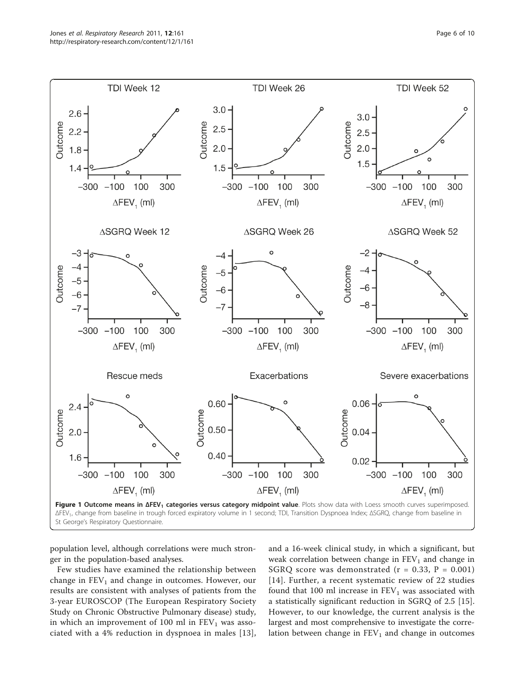<span id="page-5-0"></span>

population level, although correlations were much stronger in the population-based analyses.

Few studies have examined the relationship between change in  $FEV<sub>1</sub>$  and change in outcomes. However, our results are consistent with analyses of patients from the 3-year EUROSCOP (The European Respiratory Society Study on Chronic Obstructive Pulmonary disease) study, in which an improvement of 100 ml in  $FEV<sub>1</sub>$  was associated with a 4% reduction in dyspnoea in males [[13](#page-8-0)], and a 16-week clinical study, in which a significant, but weak correlation between change in  $FEV<sub>1</sub>$  and change in SGRQ score was demonstrated ( $r = 0.33$ ,  $P = 0.001$ ) [[14](#page-9-0)]. Further, a recent systematic review of 22 studies found that 100 ml increase in  $FEV<sub>1</sub>$  was associated with a statistically significant reduction in SGRQ of 2.5 [\[15](#page-9-0)]. However, to our knowledge, the current analysis is the largest and most comprehensive to investigate the correlation between change in  $FEV<sub>1</sub>$  and change in outcomes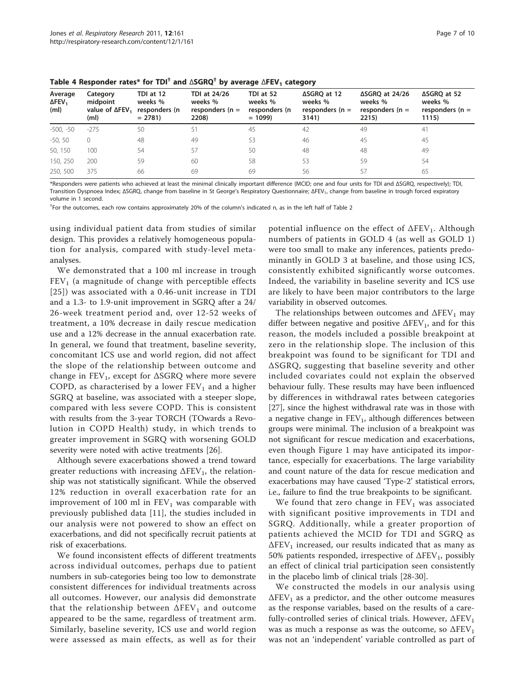| Average<br>$\Delta$ FEV <sub>1</sub><br>(m <sub>l</sub> ) | Category<br>midpoint<br>value of $\Delta$ FEV <sub>1</sub><br>(ml) | TDI at 12<br>weeks %<br>responders (n<br>$= 2781$ | TDI at 24/26<br>weeks %<br>responders ( $n =$<br>2208) | TDI at 52<br>weeks %<br>responders (n<br>$= 1099$ | ∆SGRO at 12<br>weeks %<br>responders ( $n =$<br>3141) | ∆SGRO at 24/26<br>weeks %<br>responders ( $n =$<br>2215) | ∆SGRO at 52<br>weeks %<br>responders ( $n =$<br>1115) |
|-----------------------------------------------------------|--------------------------------------------------------------------|---------------------------------------------------|--------------------------------------------------------|---------------------------------------------------|-------------------------------------------------------|----------------------------------------------------------|-------------------------------------------------------|
| $-500, -50$                                               | $-275$                                                             | 50                                                | 51                                                     | 45                                                | 42                                                    | 49                                                       | 41                                                    |
| $-50.50$                                                  | $\Omega$                                                           | 48                                                | 49                                                     | 53                                                | 46                                                    | 45                                                       | 45                                                    |
| 50, 150                                                   | 100                                                                | 54                                                | 57                                                     | 50                                                | 48                                                    | 48                                                       | 49                                                    |
| 150, 250                                                  | 200                                                                | 59                                                | 60                                                     | 58                                                | 53                                                    | 59                                                       | 54                                                    |
| 250, 500                                                  | 375                                                                | 66                                                | 69                                                     | 69                                                | 56                                                    | 57                                                       | 65                                                    |
|                                                           |                                                                    |                                                   |                                                        |                                                   |                                                       |                                                          |                                                       |

<span id="page-6-0"></span>Table 4 Responder rates\* for TDI<sup>†</sup> and  $\triangle SGRQ^{\dagger}$  by average  $\triangle FEV_1$  category

\*Responders were patients who achieved at least the minimal clinically important difference (MCID; one and four units for TDI and ΔSGRQ, respectively); TDI, Transition Dyspnoea Index; ΔSGRQ, change from baseline in St George's Respiratory Questionnaire; ΔFEV<sub>1</sub>, change from baseline in trough forced expiratory volume in 1 second.

† For the outcomes, each row contains approximately 20% of the column's indicated n, as in the left half of Table 2

using individual patient data from studies of similar design. This provides a relatively homogeneous population for analysis, compared with study-level metaanalyses.

We demonstrated that a 100 ml increase in trough  $FEV<sub>1</sub>$  (a magnitude of change with perceptible effects [[25\]](#page-9-0)) was associated with a 0.46-unit increase in TDI and a 1.3- to 1.9-unit improvement in SGRQ after a 24/ 26-week treatment period and, over 12-52 weeks of treatment, a 10% decrease in daily rescue medication use and a 12% decrease in the annual exacerbation rate. In general, we found that treatment, baseline severity, concomitant ICS use and world region, did not affect the slope of the relationship between outcome and change in  $FEV_1$ , except for  $\triangle SGRQ$  where more severe COPD, as characterised by a lower  $FEV<sub>1</sub>$  and a higher SGRQ at baseline, was associated with a steeper slope, compared with less severe COPD. This is consistent with results from the 3-year TORCH (TOwards a Revolution in COPD Health) study, in which trends to greater improvement in SGRQ with worsening GOLD severity were noted with active treatments [\[26\]](#page-9-0).

Although severe exacerbations showed a trend toward greater reductions with increasing  $\Delta$ FEV<sub>1</sub>, the relationship was not statistically significant. While the observed 12% reduction in overall exacerbation rate for an improvement of 100 ml in  $FEV<sub>1</sub>$  was comparable with previously published data [[11](#page-8-0)], the studies included in our analysis were not powered to show an effect on exacerbations, and did not specifically recruit patients at risk of exacerbations.

We found inconsistent effects of different treatments across individual outcomes, perhaps due to patient numbers in sub-categories being too low to demonstrate consistent differences for individual treatments across all outcomes. However, our analysis did demonstrate that the relationship between  $\Delta$ FEV<sub>1</sub> and outcome appeared to be the same, regardless of treatment arm. Similarly, baseline severity, ICS use and world region were assessed as main effects, as well as for their

potential influence on the effect of  $\Delta FEV_1$ . Although numbers of patients in GOLD 4 (as well as GOLD 1) were too small to make any inferences, patients predominantly in GOLD 3 at baseline, and those using ICS, consistently exhibited significantly worse outcomes. Indeed, the variability in baseline severity and ICS use are likely to have been major contributors to the large variability in observed outcomes.

The relationships between outcomes and  $\Delta$ FEV<sub>1</sub> may differ between negative and positive  $\Delta$ FEV<sub>1</sub>, and for this reason, the models included a possible breakpoint at zero in the relationship slope. The inclusion of this breakpoint was found to be significant for TDI and ΔSGRQ, suggesting that baseline severity and other included covariates could not explain the observed behaviour fully. These results may have been influenced by differences in withdrawal rates between categories [[27\]](#page-9-0), since the highest withdrawal rate was in those with a negative change in  $FEV<sub>1</sub>$ , although differences between groups were minimal. The inclusion of a breakpoint was not significant for rescue medication and exacerbations, even though Figure [1](#page-5-0) may have anticipated its importance, especially for exacerbations. The large variability and count nature of the data for rescue medication and exacerbations may have caused 'Type-2' statistical errors, i.e., failure to find the true breakpoints to be significant.

We found that zero change in  $FEV<sub>1</sub>$  was associated with significant positive improvements in TDI and SGRQ. Additionally, while a greater proportion of patients achieved the MCID for TDI and SGRQ as  $\Delta$ FEV<sub>1</sub> increased, our results indicated that as many as 50% patients responded, irrespective of  $\Delta$ FEV<sub>1</sub>, possibly an effect of clinical trial participation seen consistently in the placebo limb of clinical trials [\[28](#page-9-0)-[30](#page-9-0)].

We constructed the models in our analysis using  $\Delta$ FEV<sub>1</sub> as a predictor, and the other outcome measures as the response variables, based on the results of a carefully-controlled series of clinical trials. However,  $\Delta FEV_1$ was as much a response as was the outcome, so  $\Delta$ FEV<sub>1</sub> was not an 'independent' variable controlled as part of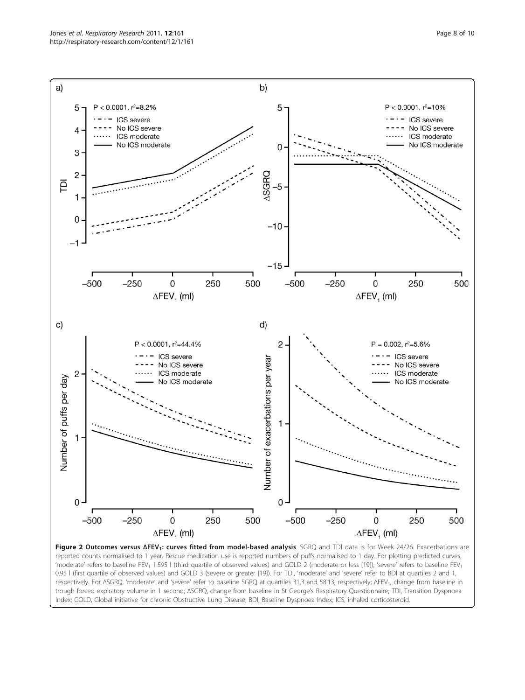<span id="page-7-0"></span>

Figure 2 Outcomes versus ΔFEV<sub>1</sub>: curves fitted from model-based analysis. SGRQ and TDI data is for Week 24/26. Exacerbations are reported counts normalised to 1 year. Rescue medication use is reported numbers of puffs normalised to 1 day. For plotting predicted curves, 'moderate' refers to baseline FEV<sub>1</sub> 1.595 l (third quartile of observed values) and GOLD 2 (moderate or less [[19\]](#page-9-0)); 'severe' refers to baseline FEV<sub>1</sub> 0.95 l (first quartile of observed values) and GOLD 3 (severe or greater [\[19](#page-9-0)]). For TDI, 'moderate' and 'severe' refer to BDI at quartiles 2 and 1, respectively. For ΔSGRQ, 'moderate' and 'severe' refer to baseline SGRQ at quartiles 31.3 and 58.13, respectively; ΔFEV<sub>1</sub>, change from baseline in trough forced expiratory volume in 1 second; ΔSGRQ, change from baseline in St George's Respiratory Questionnaire; TDI, Transition Dyspnoea Index; GOLD, Global initiative for chronic Obstructive Lung Disease; BDI, Baseline Dyspnoea Index; ICS, inhaled corticosteroid.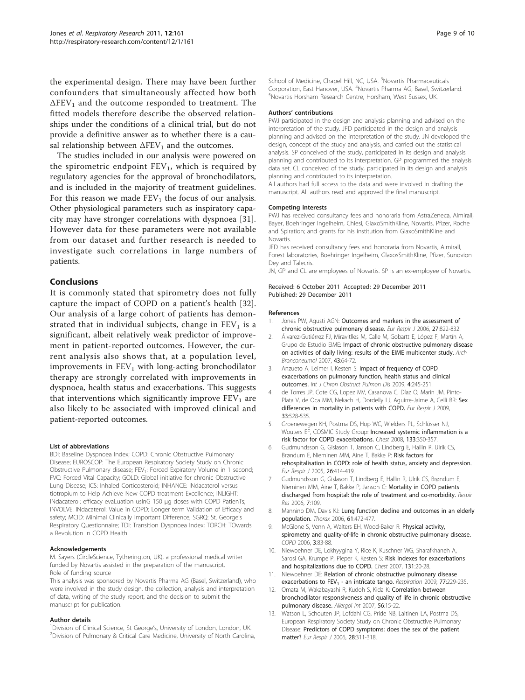<span id="page-8-0"></span>the experimental design. There may have been further confounders that simultaneously affected how both  $\Delta$ FEV<sub>1</sub> and the outcome responded to treatment. The fitted models therefore describe the observed relationships under the conditions of a clinical trial, but do not provide a definitive answer as to whether there is a causal relationship between  $\Delta$ FEV<sub>1</sub> and the outcomes.

The studies included in our analysis were powered on the spirometric endpoint  $FEV<sub>1</sub>$ , which is required by regulatory agencies for the approval of bronchodilators, and is included in the majority of treatment guidelines. For this reason we made  $FEV<sub>1</sub>$  the focus of our analysis. Other physiological parameters such as inspiratory capacity may have stronger correlations with dyspnoea [\[31](#page-9-0)]. However data for these parameters were not available from our dataset and further research is needed to investigate such correlations in large numbers of patients.

#### Conclusions

It is commonly stated that spirometry does not fully capture the impact of COPD on a patient's health [\[32](#page-9-0)]. Our analysis of a large cohort of patients has demonstrated that in individual subjects, change in  $FEV<sub>1</sub>$  is a significant, albeit relatively weak predictor of improvement in patient-reported outcomes. However, the current analysis also shows that, at a population level, improvements in  $FEV<sub>1</sub>$  with long-acting bronchodilator therapy are strongly correlated with improvements in dyspnoea, health status and exacerbations. This suggests that interventions which significantly improve  $FEV<sub>1</sub>$  are also likely to be associated with improved clinical and patient-reported outcomes.

#### List of abbreviations

BDI: Baseline Dyspnoea Index; COPD: Chronic Obstructive Pulmonary Disease; EUROSCOP: The European Respiratory Society Study on Chronic Obstructive Pulmonary disease; FEV<sub>1</sub>: Forced Expiratory Volume in 1 second; FVC: Forced Vital Capacity; GOLD: Global initiative for chronic Obstructive Lung Disease; ICS: Inhaled Corticosteroid; INHANCE: INdacaterol versus tiotropium to Help Achieve New COPD treatment Excellence; INLIGHT: INdacaterol: efficacy evaLuation usInG 150 μg doses with COPD PatienTs; INVOLVE: INdacaterol: Value in COPD: Longer term Validation of Efficacy and safety; MCID: Minimal Clinically Important Difference; SGRQ: St. George's Respiratory Questionnaire; TDI: Transition Dyspnoea Index; TORCH: TOwards a Revolution in COPD Health.

#### Acknowledgements

M. Sayers (CircleScience, Tytherington, UK), a professional medical writer funded by Novartis assisted in the preparation of the manuscript. Role of funding source

This analysis was sponsored by Novartis Pharma AG (Basel, Switzerland), who were involved in the study design, the collection, analysis and interpretation of data, writing of the study report, and the decision to submit the manuscript for publication.

#### Author details

<sup>1</sup> Division of Clinical Science, St George's, University of London, London, UK.<br><sup>2</sup> Division of Pulmonany & Critical Care Medicine, University of North Carolin <sup>2</sup>Division of Pulmonary & Critical Care Medicine, University of North Carolina, School of Medicine, Chapel Hill, NC, USA. <sup>3</sup>Novartis Pharmaceuticals Corporation, East Hanover, USA. <sup>4</sup>Novartis Pharma AG, Basel, Switzerland.<br><sup>5</sup>Novartis Horsham Besearch Centre, Horsham West Sussex, UK Novartis Horsham Research Centre, Horsham, West Sussex, UK.

#### Authors' contributions

PWJ participated in the design and analysis planning and advised on the interpretation of the study. JFD participated in the design and analysis planning and advised on the interpretation of the study. JN developed the design, concept of the study and analysis, and carried out the statistical analysis. SP conceived of the study, participated in its design and analysis planning and contributed to its interpretation. GP programmed the analysis data set. CL conceived of the study, participated in its design and analysis planning and contributed to its interpretation.

All authors had full access to the data and were involved in drafting the manuscript. All authors read and approved the final manuscript.

#### Competing interests

PWJ has received consultancy fees and honoraria from AstraZeneca, Almirall, Bayer, Boehringer Ingelheim, Chiesi, GlaxoSmithKline, Novartis, Pfizer, Roche and Spiration; and grants for his institution from GlaxoSmithKline and Novartis.

JFD has received consultancy fees and honoraria from Novartis, Almirall, Forest laboratories, Boehringer Ingelheim, GlaxosSmithKline, Pfizer, Sunovion Dey and Talecris.

JN, GP and CL are employees of Novartis. SP is an ex-employee of Novartis.

#### Received: 6 October 2011 Accepted: 29 December 2011 Published: 29 December 2011

#### References

- Jones PW, Agusti AGN: [Outcomes and markers in the assessment of](http://www.ncbi.nlm.nih.gov/pubmed/16585091?dopt=Abstract) [chronic obstructive pulmonary disease.](http://www.ncbi.nlm.nih.gov/pubmed/16585091?dopt=Abstract) Eur Respir J 2006, 27:822-832.
- 2. Álvarez-Gutiérrez FJ, Miravitlles M, Calle M, Gobartt E, López F, Martín A, Grupo de Estudio EIME: [Impact of chronic obstructive pulmonary disease](http://www.ncbi.nlm.nih.gov/pubmed/17288894?dopt=Abstract) [on activities of daily living: results of the EIME multicenter study.](http://www.ncbi.nlm.nih.gov/pubmed/17288894?dopt=Abstract) Arch Bronconeumol 2007, 43:64-72.
- Anzueto A, Leimer I, Kesten S: [Impact of frequency of COPD](http://www.ncbi.nlm.nih.gov/pubmed/19657398?dopt=Abstract) [exacerbations on pulmonary function, health status and clinical](http://www.ncbi.nlm.nih.gov/pubmed/19657398?dopt=Abstract) [outcomes.](http://www.ncbi.nlm.nih.gov/pubmed/19657398?dopt=Abstract) Int J Chron Obstruct Pulmon Dis 2009, 4:245-251.
- 4. de Torres JP, Cote CG, Lopez MV, Casanova C, Díaz O, Marin JM, Pinto-Plata V, de Oca MM, Nekach H, Dordelly LJ, Aguirre-Jaime A, Celli BR: [Sex](http://www.ncbi.nlm.nih.gov/pubmed/19047315?dopt=Abstract) [differences in mortality in patients with COPD.](http://www.ncbi.nlm.nih.gov/pubmed/19047315?dopt=Abstract) Eur Respir J 2009, 33:528-535.
- 5. Groenewegen KH, Postma DS, Hop WC, Wielders PL, Schlösser NJ, Wouters EF, COSMIC Study Group: [Increased systemic inflammation is a](http://www.ncbi.nlm.nih.gov/pubmed/18198263?dopt=Abstract) [risk factor for COPD exacerbations.](http://www.ncbi.nlm.nih.gov/pubmed/18198263?dopt=Abstract) Chest 2008, 133:350-357.
- 6. Gudmundsson G, Gislason T, Janson C, Lindberg E, Hallin R, Ulrik CS, Brøndum E, Nieminen MM, Aine T, Bakke P: [Risk factors for](http://www.ncbi.nlm.nih.gov/pubmed/16135721?dopt=Abstract) [rehospitalisation in COPD: role of health status, anxiety and depression.](http://www.ncbi.nlm.nih.gov/pubmed/16135721?dopt=Abstract) Eur Respir J 2005, 26:414-419.
- 7. Gudmundsson G, Gislason T, Lindberg E, Hallin R, Ulrik CS, Brøndum E, Nieminen MM, Aine T, Bakke P, Janson C: [Mortality in COPD patients](http://www.ncbi.nlm.nih.gov/pubmed/16914029?dopt=Abstract) [discharged from hospital: the role of treatment and co-morbidity.](http://www.ncbi.nlm.nih.gov/pubmed/16914029?dopt=Abstract) Respir Res 2006, 7:109.
- 8. Mannino DM, Davis KJ: [Lung function decline and outcomes in an elderly](http://www.ncbi.nlm.nih.gov/pubmed/16517577?dopt=Abstract) [population.](http://www.ncbi.nlm.nih.gov/pubmed/16517577?dopt=Abstract) Thorax 2006, 61:472-477.
- 9. McGlone S, Venn A, Walters EH, Wood-Baker R: [Physical activity,](http://www.ncbi.nlm.nih.gov/pubmed/17175670?dopt=Abstract) [spirometry and quality-of-life in chronic obstructive pulmonary disease.](http://www.ncbi.nlm.nih.gov/pubmed/17175670?dopt=Abstract) COPD 2006, 3:83-88.
- 10. Niewoehner DE, Lokhyygina Y, Rice K, Kuschner WG, Sharafkhaneh A, Sarosi GA, Krumpe P, Pieper K, Kesten S: [Risk indexes for exacerbations](http://www.ncbi.nlm.nih.gov/pubmed/17218552?dopt=Abstract) [and hospitalizations due to COPD.](http://www.ncbi.nlm.nih.gov/pubmed/17218552?dopt=Abstract) Chest 2007, 131:20-28.
- 11. Niewoehner DE: [Relation of chronic obstructive pulmonary disease](http://www.ncbi.nlm.nih.gov/pubmed/18840996?dopt=Abstract) exacerbations to  $FEV<sub>1</sub>$  [- an intricate tango.](http://www.ncbi.nlm.nih.gov/pubmed/18840996?dopt=Abstract) Respiration 2009, 77:229-235.
- 12. Omata M, Wakabayashi R, Kudoh S, Kida K: [Correlation between](http://www.ncbi.nlm.nih.gov/pubmed/17259805?dopt=Abstract) [bronchodilator responsiveness and quality of life in chronic obstructive](http://www.ncbi.nlm.nih.gov/pubmed/17259805?dopt=Abstract) [pulmonary disease.](http://www.ncbi.nlm.nih.gov/pubmed/17259805?dopt=Abstract) Allergol Int 2007, 56:15-22.
- 13. Watson L, Schouten JP, Lofdahl CG, Pride NB, Laitinen LA, Postma DS, European Respiratory Society Study on Chronic Obstructive Pulmonary Disease: [Predictors of COPD symptoms: does the sex of the patient](http://www.ncbi.nlm.nih.gov/pubmed/16707516?dopt=Abstract) [matter?](http://www.ncbi.nlm.nih.gov/pubmed/16707516?dopt=Abstract) Eur Respir J 2006, 28:311-318.